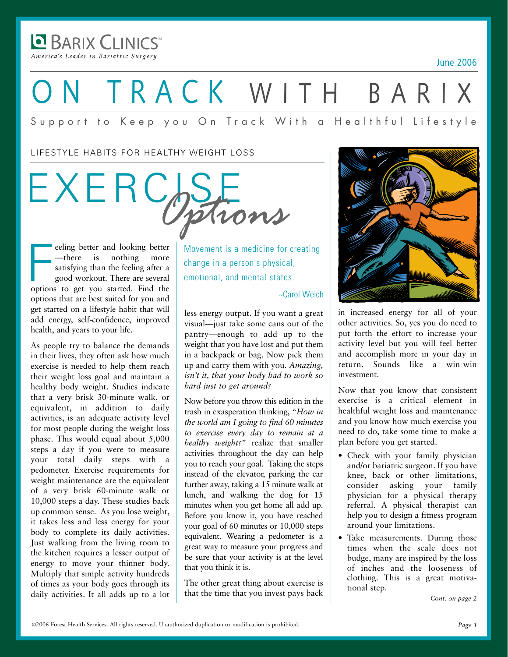**BARIX CLINICS** America's Leader in Bariatric Surgery

June 2006

# ON TRACK WITH BARIX

#### Support to Keep you On Track With a Healthful Lifestyle

LIFESTYLE HABITS FOR HEALTHY WEIGHT LOSS

EXERCISE *Options*

eeling better and looking better<br>
—there is nothing more<br>
satisfying than the feeling after a<br>
good workout. There are several<br>
options to get you started. Find the eeling better and looking better —there is nothing more satisfying than the feeling after a good workout. There are several options that are best suited for you and get started on a lifestyle habit that will add energy, self-confidence, improved health, and years to your life.

As people try to balance the demands in their lives, they often ask how much exercise is needed to help them reach their weight loss goal and maintain a healthy body weight. Studies indicate that a very brisk 30-minute walk, or equivalent, in addition to daily activities, is an adequate activity level for most people during the weight loss phase. This would equal about 5,000 steps a day if you were to measure your total daily steps with a pedometer. Exercise requirements for weight maintenance are the equivalent of a very brisk 60-minute walk or 10,000 steps a day. These studies back up common sense. As you lose weight, it takes less and less energy for your body to complete its daily activities. Just walking from the living room to the kitchen requires a lesser output of energy to move your thinner body. Multiply that simple activity hundreds of times as your body goes through its daily activities. It all adds up to a lot Movement is a medicine for creating change in a person's physical, emotional, and mental states.

#### ~Carol Welch

less energy output. If you want a great visual—just take some cans out of the pantry—enough to add up to the weight that you have lost and put them in a backpack or bag. Now pick them up and carry them with you. *Amazing, isn't it, that your body had to work so hard just to get around?* 

Now before you throw this edition in the trash in exasperation thinking, "*How in the world am I going to find 60 minutes to exercise every day to remain at a healthy weight?*" realize that smaller activities throughout the day can help you to reach your goal. Taking the steps instead of the elevator, parking the car further away, taking a 15 minute walk at lunch, and walking the dog for 15 minutes when you get home all add up. Before you know it, you have reached your goal of 60 minutes or 10,000 steps equivalent. Wearing a pedometer is a great way to measure your progress and be sure that your activity is at the level that you think it is.

The other great thing about exercise is that the time that you invest pays back



in increased energy for all of your other activities. So, yes you do need to put forth the effort to increase your activity level but you will feel better and accomplish more in your day in return. Sounds like a win-win investment.

Now that you know that consistent exercise is a critical element in healthful weight loss and maintenance and you know how much exercise you need to do, take some time to make a plan before you get started.

- Check with your family physician and/or bariatric surgeon. If you have knee, back or other limitations, consider asking your family physician for a physical therapy referral. A physical therapist can help you to design a fitness program around your limitations.
- Take measurements. During those times when the scale does not budge, many are inspired by the loss of inches and the looseness of clothing. This is a great motivational step.

*Cont. on page 2*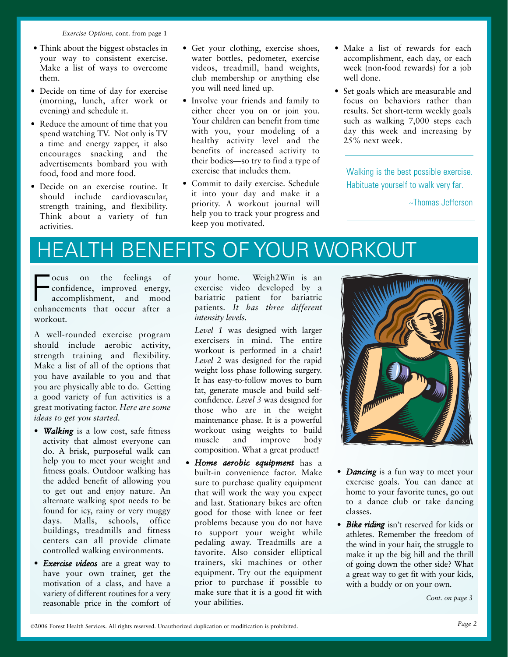*Exercise Options,* cont. from page 1

- Think about the biggest obstacles in your way to consistent exercise. Make a list of ways to overcome them.
- Decide on time of day for exercise (morning, lunch, after work or evening) and schedule it.
- Reduce the amount of time that you spend watching TV. Not only is TV a time and energy zapper, it also encourages snacking and the advertisements bombard you with food, food and more food.
- Decide on an exercise routine. It should include cardiovascular, strength training, and flexibility. Think about a variety of fun activities.
- Get your clothing, exercise shoes, water bottles, pedometer, exercise videos, treadmill, hand weights, club membership or anything else you will need lined up.
- Involve your friends and family to either cheer you on or join you. Your children can benefit from time with you, your modeling of a healthy activity level and the benefits of increased activity to their bodies—so try to find a type of exercise that includes them.
- Commit to daily exercise. Schedule it into your day and make it a priority. A workout journal will help you to track your progress and keep you motivated.
- Make a list of rewards for each accomplishment, each day, or each week (non-food rewards) for a job well done.
- Set goals which are measurable and focus on behaviors rather than results. Set short-term weekly goals such as walking 7,000 steps each day this week and increasing by 25% next week.

Walking is the best possible exercise. Habituate yourself to walk very far.

~Thomas Jefferson

## HEALTH BENEFITS OF YOUR WORKOUT

**FR** ocus on the feelings of confidence, improved energy, accomplishment, and mood enhancements that occur after a ocus on the feelings of confidence, improved energy, accomplishment, and mood workout.

A well-rounded exercise program should include aerobic activity, strength training and flexibility. Make a list of all of the options that you have available to you and that you are physically able to do. Getting a good variety of fun activities is a great motivating factor. *Here are some ideas to get you started.*

- *Walking* is a low cost, safe fitness activity that almost everyone can do. A brisk, purposeful walk can help you to meet your weight and fitness goals. Outdoor walking has the added benefit of allowing you to get out and enjoy nature. An alternate walking spot needs to be found for icy, rainy or very muggy days. Malls, schools, office buildings, treadmills and fitness centers can all provide climate controlled walking environments.
- *Exercise videos* are a great way to have your own trainer, get the motivation of a class, and have a variety of different routines for a very reasonable price in the comfort of

your home. Weigh2Win is an exercise video developed by a bariatric patient for bariatric patients. *It has three different intensity levels.* 

*Level 1* was designed with larger exercisers in mind. The entire workout is performed in a chair! *Level 2* was designed for the rapid weight loss phase following surgery. It has easy-to-follow moves to burn fat, generate muscle and build selfconfidence. *Level 3* was designed for those who are in the weight maintenance phase. It is a powerful workout using weights to build muscle and improve body composition. What a great product!

• *Home aerobic equipment* has a built-in convenience factor. Make sure to purchase quality equipment that will work the way you expect and last. Stationary bikes are often good for those with knee or feet problems because you do not have to support your weight while pedaling away. Treadmills are a favorite. Also consider elliptical trainers, ski machines or other equipment. Try out the equipment prior to purchase if possible to make sure that it is a good fit with your abilities.



- *Dancing* is a fun way to meet your exercise goals. You can dance at home to your favorite tunes, go out to a dance club or take dancing classes.
- *Bike riding* isn't reserved for kids or athletes. Remember the freedom of the wind in your hair, the struggle to make it up the big hill and the thrill of going down the other side? What a great way to get fit with your kids, with a buddy or on your own.

*Cont. on page 3*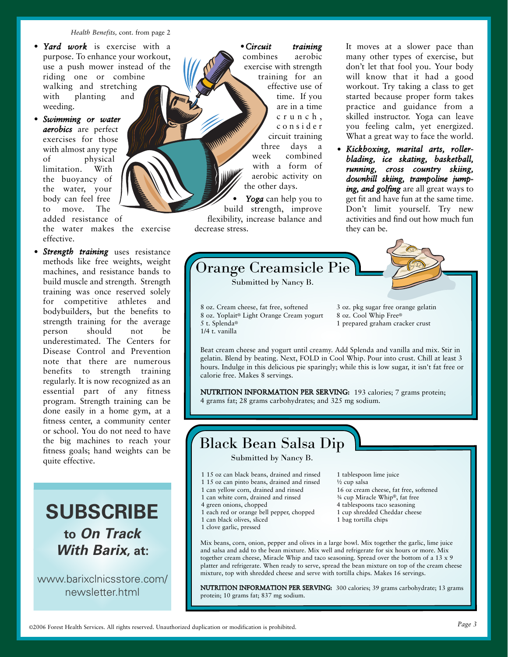*Health Benefits,* cont. from page 2

- *Yard work* is exercise with a purpose. To enhance your workout, use a push mower instead of the riding one or combine walking and stretching with planting and weeding.
- *Swimming or water aerobics* are perfect exercises for those with almost any type of physical limitation. With the buoyancy of the water, your body can feel free to move. The added resistance of

the water makes the exercise effective.

• *Strength training* uses resistance methods like free weights, weight machines, and resistance bands to build muscle and strength. Strength training was once reserved solely for competitive athletes and bodybuilders, but the benefits to strength training for the average person should not be underestimated. The Centers for Disease Control and Prevention note that there are numerous benefits to strength training regularly. It is now recognized as an essential part of any fitness program. Strength training can be done easily in a home gym, at a fitness center, a community center or school. You do not need to have the big machines to reach your fitness goals; hand weights can be quite effective.

**SUBSCRIBE to On Track With Barix, at:**

www.barixclnicsstore.com/ newsletter.html

•*Circuit training* combines aerobic exercise with strength training for an effective use of time. If you are in a time crunch, consider circuit training three days a week combined with a form of aerobic activity on the other days.

• *Yoga* can help you to build strength, improve flexibility, increase balance and decrease stress.

It moves at a slower pace than many other types of exercise, but don't let that fool you. Your body will know that it had a good workout. Try taking a class to get started because proper form takes practice and guidance from a skilled instructor. Yoga can leave you feeling calm, yet energized. What a great way to face the world.

• *Kickboxing, marital arts, rollerblading, ice skating, basketball, running, cross country skiing, downhill skiing, trampoline jumping, and golfing* are all great ways to get fit and have fun at the same time. Don't limit yourself. Try new activities and find out how much fun they can be.



NUTRITION INFORMATION PER SERVING: 193 calories; 7 grams protein; 4 grams fat; 28 grams carbohydrates; and 325 mg sodium.

#### Black Bean Salsa Dip

Submitted by Nancy B.

- 1 15 oz can black beans, drained and rinsed
- 1 15 oz can pinto beans, drained and rinsed
- 1 can yellow corn, drained and rinsed 1 can white corn, drained and rinsed
- 4 green onions, chopped
- 1 each red or orange bell pepper, chopped
- 1 can black olives, sliced
- 1 clove garlic, pressed

1 tablespoon lime juice ½ cup salsa 16 oz cream cheese, fat free, softened ¾ cup Miracle Whip®, fat free 4 tablespoons taco seasoning 1 cup shredded Cheddar cheese 1 bag tortilla chips

Mix beans, corn, onion, pepper and olives in a large bowl. Mix together the garlic, lime juice and salsa and add to the bean mixture. Mix well and refrigerate for six hours or more. Mix together cream cheese, Miracle Whip and taco seasoning. Spread over the bottom of a 13 x 9 platter and refrigerate. When ready to serve, spread the bean mixture on top of the cream cheese mixture, top with shredded cheese and serve with tortilla chips. Makes 16 servings.

NUTRITION INFORMATION PER SERVING: 300 calories; 39 grams carbohydrate; 13 grams protein; 10 grams fat; 837 mg sodium.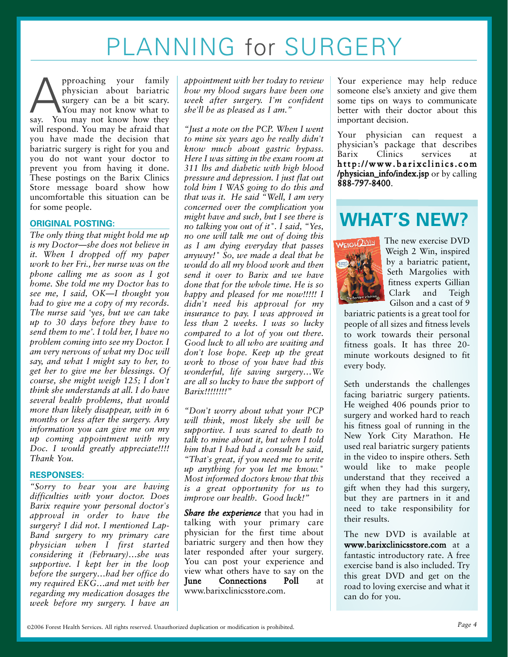## PLANNING for SURGERY

pproaching your family<br>physician about bariatric<br>say. You may not know what to<br>say. You may not know how they physician about bariatric surgery can be a bit scary. You may not know what to will respond. You may be afraid that you have made the decision that bariatric surgery is right for you and you do not want your doctor to prevent you from having it done. These postings on the Barix Clinics Store message board show how uncomfortable this situation can be for some people.

#### **ORIGINAL POSTING:**

*The only thing that might hold me up is my Doctor—she does not believe in it. When I dropped off my paper work to her Fri., her nurse was on the phone calling me as soon as I got home. She told me my Doctor has to see me, I said, OK—I thought you had to give me a copy of my records. The nurse said 'yes, but we can take up to 30 days before they have to send them to me'. I told her, I have no problem coming into see my Doctor. I am very nervous of what my Doc will say, and what I might say to her, to get her to give me her blessings. Of course, she might weigh 125; I don't think she understands at all. I do have several health problems, that would more than likely disappear, with in 6 months or less after the surgery. Any information you can give me on my up coming appointment with my Doc. I would greatly appreciate!!!! Thank You.*

#### **RESPONSES:**

*"Sorry to hear you are having difficulties with your doctor. Does Barix require your personal doctor's approval in order to have the surgery? I did not. I mentioned Lap-Band surgery to my primary care physician when I first started considering it (February)…she was supportive. I kept her in the loop before the surgery…had her office do my required EKG…and met with her regarding my medication dosages the week before my surgery. I have an* *appointment with her today to review how my blood sugars have been one week after surgery. I'm confident she'll be as pleased as I am."*

*"Just a note on the PCP. When I went to mine six years ago he really didn't know much about gastric bypass. Here I was sitting in the exam room at 311 lbs and diabetic with high blood pressure and depression. I just flat out told him I WAS going to do this and that was it. He said "Well, I am very concerned over the complication you might have and such, but I see there is no talking you out of it". I said, "Yes, no one will talk me out of doing this as I am dying everyday that passes anyway!" So, we made a deal that he would do all my blood work and then send it over to Barix and we have done that for the whole time. He is so happy and pleased for me now!!!!! I didn't need his approval for my insurance to pay. I was approved in less than 2 weeks. I was so lucky compared to a lot of you out there. Good luck to all who are waiting and don't lose hope. Keep up the great work to those of you have had this wonderful, life saving surgery…We are all so lucky to have the support of Barix!!!!!!!!"*

*"Don't worry about what your PCP will think, most likely she will be supportive. I was scared to death to talk to mine about it, but when I told him that I had had a consult he said, "That's great, if you need me to write up anything for you let me know." Most informed doctors know that this is a great opportunity for us to improve our health. Good luck!"*

*Share the experience* that you had in talking with your primary care physician for the first time about bariatric surgery and then how they later responded after your surgery. You can post your experience and view what others have to say on the<br> **Tune** Connections Poll at Connections Poll at www.barixclinicsstore.com.

Your experience may help reduce someone else's anxiety and give them some tips on ways to communicate better with their doctor about this important decision.

Your physician can request a physician's package that describes Barix Clinics services at http://www.barixclinics.com /physician\_info/index.jsp or by calling 888-797-8400.

## **WHAT'S NEW?**



The new exercise DVD Weigh 2 Win, inspired by a bariatric patient, Seth Margolies with fitness experts Gillian Clark and Teigh Gilson and a cast of 9

bariatric patients is a great tool for people of all sizes and fitness levels to work towards their personal fitness goals. It has three 20 minute workouts designed to fit every body.

Seth understands the challenges facing bariatric surgery patients. He weighed 406 pounds prior to surgery and worked hard to reach his fitness goal of running in the New York City Marathon. He used real bariatric surgery patients in the video to inspire others. Seth would like to make people understand that they received a gift when they had this surgery, but they are partners in it and need to take responsibility for their results.

The new DVD is available at www.barixclinicsstore.com at a fantastic introductory rate. A free exercise band is also included. Try this great DVD and get on the road to loving exercise and what it can do for you.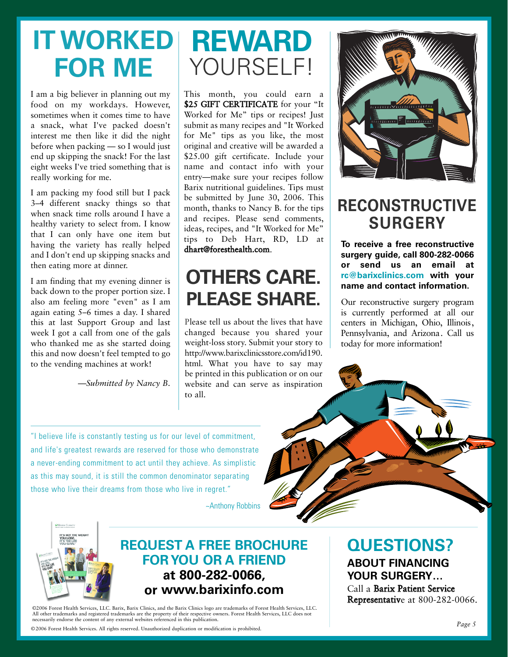# **IT WORKED REWARD FOR ME**

I am a big believer in planning out my food on my workdays. However, sometimes when it comes time to have a snack, what I've packed doesn't interest me then like it did the night before when packing — so I would just end up skipping the snack! For the last eight weeks I've tried something that is really working for me.

I am packing my food still but I pack 3–4 different snacky things so that when snack time rolls around I have a healthy variety to select from. I know that I can only have one item but having the variety has really helped and I don't end up skipping snacks and then eating more at dinner.

I am finding that my evening dinner is back down to the proper portion size. I also am feeling more "even" as I am again eating 5–6 times a day. I shared this at last Support Group and last week I got a call from one of the gals who thanked me as she started doing this and now doesn't feel tempted to go to the vending machines at work!

*—Submitted by Nancy B.*

# YOURSELF!

This month, you could earn a \$25 GIFT CERTIFICATE for your "It Worked for Me" tips or recipes! Just submit as many recipes and "It Worked for Me" tips as you like, the most original and creative will be awarded a \$25.00 gift certificate. Include your name and contact info with your entry—make sure your recipes follow Barix nutritional guidelines. Tips must be submitted by June 30, 2006. This month, thanks to Nancy B. for the tips and recipes. Please send comments, ideas, recipes, and "It Worked for Me" tips to Deb Hart, RD, LD at dhart@foresthealth.com.

## **OTHERS CARE. PLEASE SHARE.**

Please tell us about the lives that have changed because you shared your weight-loss story. Submit your story to http://www.barixclinicsstore.com/id190. html. What you have to say may be printed in this publication or on our website and can serve as inspiration to all.



### **RECONSTRUCTIVE SURGERY**

**To receive a free reconstructive surgery guide, call 8002820066 or send us an email at rc@barixclinics.com with your name and contact information.**

Our reconstructive surgery program is currently performed at all our centers in Michigan, Ohio, Illinois, Pennsylvania, and Arizona. Call us today for more information!

"I believe life is constantly testing us for our level of commitment, and life's greatest rewards are reserved for those who demonstrate a never-ending commitment to act until they achieve. As simplistic as this may sound, it is still the common denominator separating those who live their dreams from those who live in regret."

~Anthony Robbins



#### **REQUEST A FREE BROCHURE FOR YOU OR A FRIEND at 8002820066, or www.barixinfo.com**

©2006 Forest Health Services, LLC. Barix, Barix Clinics, and the Barix Clinics logo are trademarks of Forest Health Services, LLC. All other trademarks and registered trademarks are the property of their respective owners. Forest Health Services, LLC does not necessarily endorse the content of any external websites referenced in this publication.

©2006 Forest Health Services. All rights reserved. Unauthorized duplication or modification is prohibited.

## **QUESTIONS?**

**ABOUT FINANCING YOUR SURGERY…**

Call a Barix Patient Service Representative at 800-282-0066.